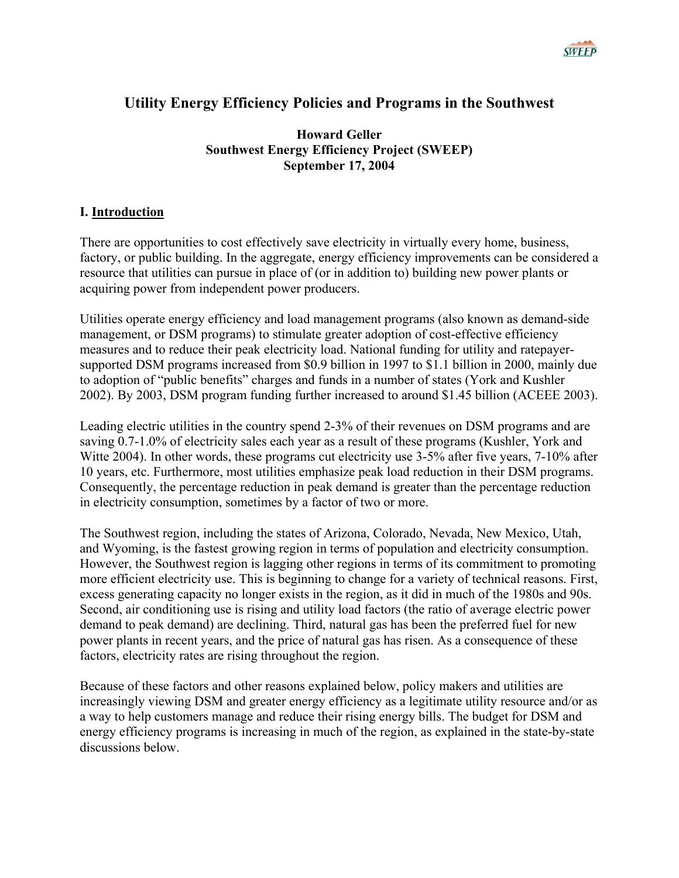

# **Utility Energy Efficiency Policies and Programs in the Southwest**

**Howard Geller Southwest Energy Efficiency Project (SWEEP) September 17, 2004** 

### **I. Introduction**

There are opportunities to cost effectively save electricity in virtually every home, business, factory, or public building. In the aggregate, energy efficiency improvements can be considered a resource that utilities can pursue in place of (or in addition to) building new power plants or acquiring power from independent power producers.

Utilities operate energy efficiency and load management programs (also known as demand-side management, or DSM programs) to stimulate greater adoption of cost-effective efficiency measures and to reduce their peak electricity load. National funding for utility and ratepayersupported DSM programs increased from \$0.9 billion in 1997 to \$1.1 billion in 2000, mainly due to adoption of "public benefits" charges and funds in a number of states (York and Kushler 2002). By 2003, DSM program funding further increased to around \$1.45 billion (ACEEE 2003).

Leading electric utilities in the country spend 2-3% of their revenues on DSM programs and are saving 0.7-1.0% of electricity sales each year as a result of these programs (Kushler, York and Witte 2004). In other words, these programs cut electricity use 3-5% after five years, 7-10% after 10 years, etc. Furthermore, most utilities emphasize peak load reduction in their DSM programs. Consequently, the percentage reduction in peak demand is greater than the percentage reduction in electricity consumption, sometimes by a factor of two or more.

The Southwest region, including the states of Arizona, Colorado, Nevada, New Mexico, Utah, and Wyoming, is the fastest growing region in terms of population and electricity consumption. However, the Southwest region is lagging other regions in terms of its commitment to promoting more efficient electricity use. This is beginning to change for a variety of technical reasons. First, excess generating capacity no longer exists in the region, as it did in much of the 1980s and 90s. Second, air conditioning use is rising and utility load factors (the ratio of average electric power demand to peak demand) are declining. Third, natural gas has been the preferred fuel for new power plants in recent years, and the price of natural gas has risen. As a consequence of these factors, electricity rates are rising throughout the region.

Because of these factors and other reasons explained below, policy makers and utilities are increasingly viewing DSM and greater energy efficiency as a legitimate utility resource and/or as a way to help customers manage and reduce their rising energy bills. The budget for DSM and energy efficiency programs is increasing in much of the region, as explained in the state-by-state discussions below.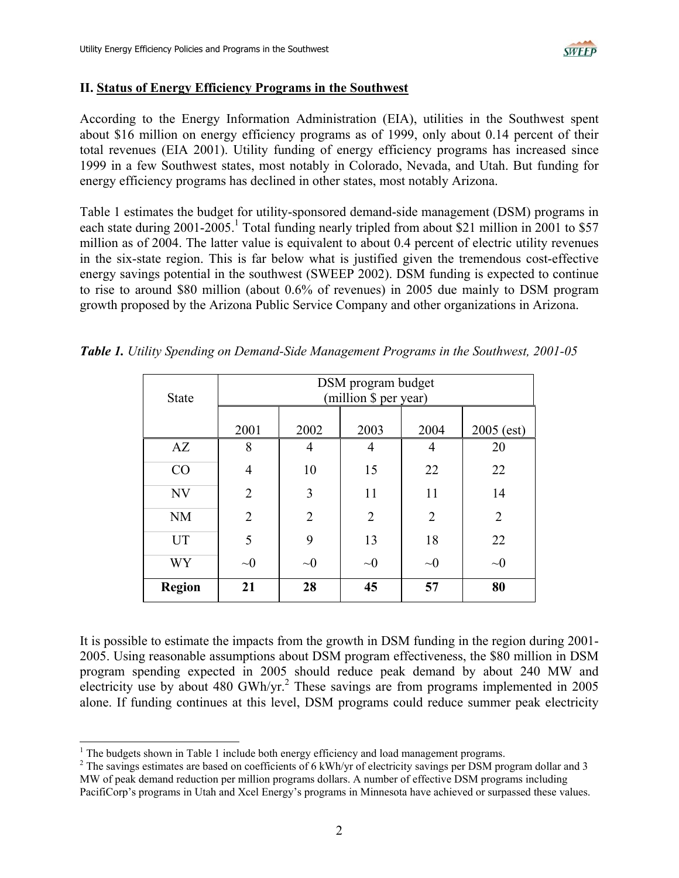

#### **II. Status of Energy Efficiency Programs in the Southwest**

According to the Energy Information Administration (EIA), utilities in the Southwest spent about \$16 million on energy efficiency programs as of 1999, only about 0.14 percent of their total revenues (EIA 2001). Utility funding of energy efficiency programs has increased since 1999 in a few Southwest states, most notably in Colorado, Nevada, and Utah. But funding for energy efficiency programs has declined in other states, most notably Arizona.

Table 1 estimates the budget for utility-sponsored demand-side management (DSM) programs in each state during 2001-2005.<sup>1</sup> Total funding nearly tripled from about \$21 million in 2001 to \$57 million as of 2004. The latter value is equivalent to about 0.4 percent of electric utility revenues in the six-state region. This is far below what is justified given the tremendous cost-effective energy savings potential in the southwest (SWEEP 2002). DSM funding is expected to continue to rise to around \$80 million (about 0.6% of revenues) in 2005 due mainly to DSM program growth proposed by the Arizona Public Service Company and other organizations in Arizona.

| <b>State</b>  | DSM program budget<br>(million \$ per year) |                |                |                |                |  |  |  |  |
|---------------|---------------------------------------------|----------------|----------------|----------------|----------------|--|--|--|--|
|               | 2001                                        | 2002           | 2003           | 2004           | $2005$ (est)   |  |  |  |  |
| AZ            | 8                                           | 4              | 4              | 4              | 20             |  |  |  |  |
| CO            | $\overline{4}$                              | 10             | 15             | 22             | 22             |  |  |  |  |
| <b>NV</b>     | $\overline{2}$                              | 3              | 11             | 11             | 14             |  |  |  |  |
| <b>NM</b>     | $\overline{2}$                              | $\overline{2}$ | $\overline{2}$ | $\overline{2}$ | $\overline{2}$ |  |  |  |  |
| <b>UT</b>     | 5                                           | 9              | 13             | 18             | 22             |  |  |  |  |
| WY            | $\sim 0$                                    | $\sim 0$       | $\sim 0$       | $\sim 0$       | $\sim 0$       |  |  |  |  |
| <b>Region</b> | 21                                          | 28             | 45             | 57             | 80             |  |  |  |  |

*Table 1. Utility Spending on Demand-Side Management Programs in the Southwest, 2001-05* 

It is possible to estimate the impacts from the growth in DSM funding in the region during 2001- 2005. Using reasonable assumptions about DSM program effectiveness, the \$80 million in DSM program spending expected in 2005 should reduce peak demand by about 240 MW and electricity use by about 480 GWh/yr.<sup>[2](#page-1-1)</sup> These savings are from programs implemented in 2005 alone. If funding continues at this level, DSM programs could reduce summer peak electricity

<span id="page-1-0"></span><sup>|&</sup>lt;br>|<br>|  $<sup>1</sup>$  The budgets shown in Table 1 include both energy efficiency and load management programs.</sup>

<span id="page-1-1"></span><sup>&</sup>lt;sup>2</sup> The savings estimates are based on coefficients of 6 kWh/yr of electricity savings per DSM program dollar and 3 MW of peak demand reduction per million programs dollars. A number of effective DSM programs including PacifiCorp's programs in Utah and Xcel Energy's programs in Minnesota have achieved or surpassed these values.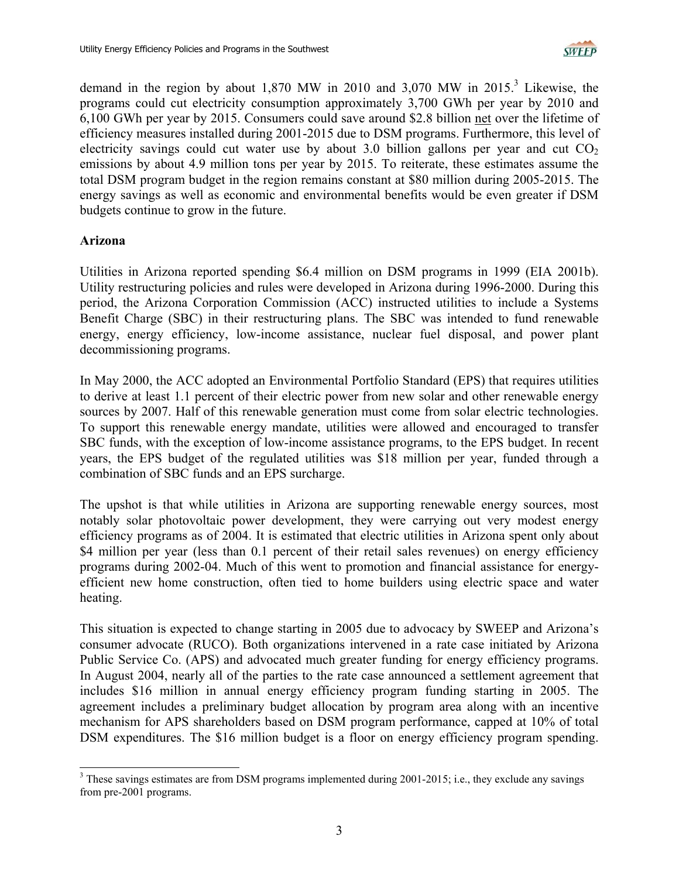

demand in the region by about  $1,870$  MW in  $2010$  and  $3,070$  $3,070$  MW in  $2015$ <sup>3</sup>. Likewise, the programs could cut electricity consumption approximately 3,700 GWh per year by 2010 and 6,100 GWh per year by 2015. Consumers could save around \$2.8 billion net over the lifetime of efficiency measures installed during 2001-2015 due to DSM programs. Furthermore, this level of electricity savings could cut water use by about 3.0 billion gallons per year and cut  $CO<sub>2</sub>$ emissions by about 4.9 million tons per year by 2015. To reiterate, these estimates assume the total DSM program budget in the region remains constant at \$80 million during 2005-2015. The energy savings as well as economic and environmental benefits would be even greater if DSM budgets continue to grow in the future.

#### **Arizona**

Utilities in Arizona reported spending \$6.4 million on DSM programs in 1999 (EIA 2001b). Utility restructuring policies and rules were developed in Arizona during 1996-2000. During this period, the Arizona Corporation Commission (ACC) instructed utilities to include a Systems Benefit Charge (SBC) in their restructuring plans. The SBC was intended to fund renewable energy, energy efficiency, low-income assistance, nuclear fuel disposal, and power plant decommissioning programs.

In May 2000, the ACC adopted an Environmental Portfolio Standard (EPS) that requires utilities to derive at least 1.1 percent of their electric power from new solar and other renewable energy sources by 2007. Half of this renewable generation must come from solar electric technologies. To support this renewable energy mandate, utilities were allowed and encouraged to transfer SBC funds, with the exception of low-income assistance programs, to the EPS budget. In recent years, the EPS budget of the regulated utilities was \$18 million per year, funded through a combination of SBC funds and an EPS surcharge.

The upshot is that while utilities in Arizona are supporting renewable energy sources, most notably solar photovoltaic power development, they were carrying out very modest energy efficiency programs as of 2004. It is estimated that electric utilities in Arizona spent only about \$4 million per year (less than 0.1 percent of their retail sales revenues) on energy efficiency programs during 2002-04. Much of this went to promotion and financial assistance for energyefficient new home construction, often tied to home builders using electric space and water heating.

This situation is expected to change starting in 2005 due to advocacy by SWEEP and Arizona's consumer advocate (RUCO). Both organizations intervened in a rate case initiated by Arizona Public Service Co. (APS) and advocated much greater funding for energy efficiency programs. In August 2004, nearly all of the parties to the rate case announced a settlement agreement that includes \$16 million in annual energy efficiency program funding starting in 2005. The agreement includes a preliminary budget allocation by program area along with an incentive mechanism for APS shareholders based on DSM program performance, capped at 10% of total DSM expenditures. The \$16 million budget is a floor on energy efficiency program spending.

<span id="page-2-0"></span> <sup>3</sup> <sup>3</sup> These savings estimates are from DSM programs implemented during 2001-2015; i.e., they exclude any savings from pre-2001 programs.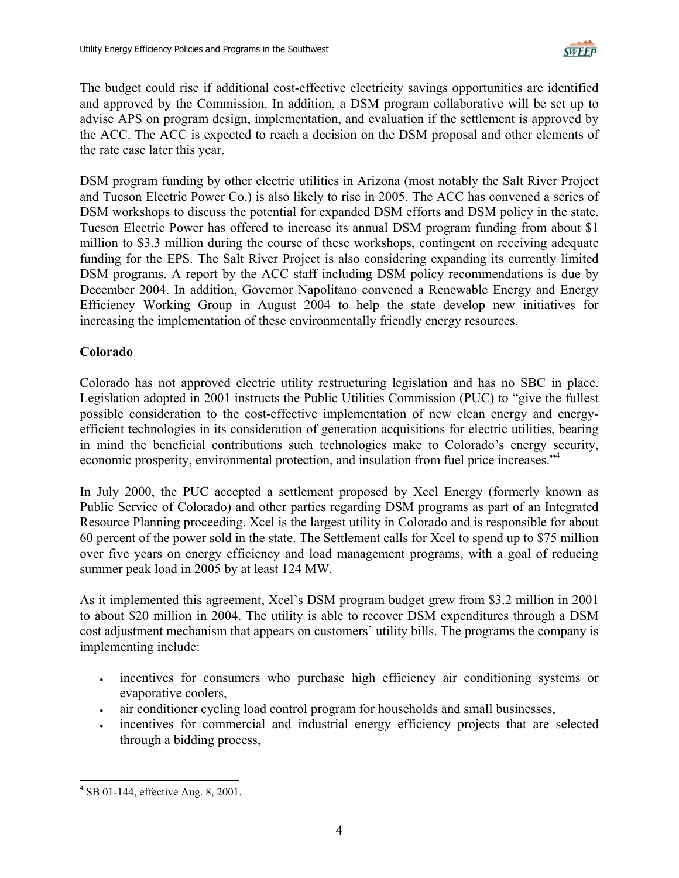

The budget could rise if additional cost-effective electricity savings opportunities are identified and approved by the Commission. In addition, a DSM program collaborative will be set up to advise APS on program design, implementation, and evaluation if the settlement is approved by the ACC. The ACC is expected to reach a decision on the DSM proposal and other elements of the rate case later this year.

DSM program funding by other electric utilities in Arizona (most notably the Salt River Project and Tucson Electric Power Co.) is also likely to rise in 2005. The ACC has convened a series of DSM workshops to discuss the potential for expanded DSM efforts and DSM policy in the state. Tucson Electric Power has offered to increase its annual DSM program funding from about \$1 million to \$3.3 million during the course of these workshops, contingent on receiving adequate funding for the EPS. The Salt River Project is also considering expanding its currently limited DSM programs. A report by the ACC staff including DSM policy recommendations is due by December 2004. In addition, Governor Napolitano convened a Renewable Energy and Energy Efficiency Working Group in August 2004 to help the state develop new initiatives for increasing the implementation of these environmentally friendly energy resources.

### **Colorado**

Colorado has not approved electric utility restructuring legislation and has no SBC in place. Legislation adopted in 2001 instructs the Public Utilities Commission (PUC) to "give the fullest possible consideration to the cost-effective implementation of new clean energy and energyefficient technologies in its consideration of generation acquisitions for electric utilities, bearing in mind the beneficial contributions such technologies make to Colorado's energy security, economic prosperity, environmental protection, and insulation from fuel price increases."<sup>4</sup>

In July 2000, the PUC accepted a settlement proposed by Xcel Energy (formerly known as Public Service of Colorado) and other parties regarding DSM programs as part of an Integrated Resource Planning proceeding. Xcel is the largest utility in Colorado and is responsible for about 60 percent of the power sold in the state. The Settlement calls for Xcel to spend up to \$75 million over five years on energy efficiency and load management programs, with a goal of reducing summer peak load in 2005 by at least 124 MW.

As it implemented this agreement, Xcel's DSM program budget grew from \$3.2 million in 2001 to about \$20 million in 2004. The utility is able to recover DSM expenditures through a DSM cost adjustment mechanism that appears on customers' utility bills. The programs the company is implementing include:

- incentives for consumers who purchase high efficiency air conditioning systems or evaporative coolers,
- air conditioner cycling load control program for households and small businesses,
- incentives for commercial and industrial energy efficiency projects that are selected through a bidding process,

<span id="page-3-0"></span> $\frac{1}{4}$ SB 01-144, effective Aug. 8, 2001.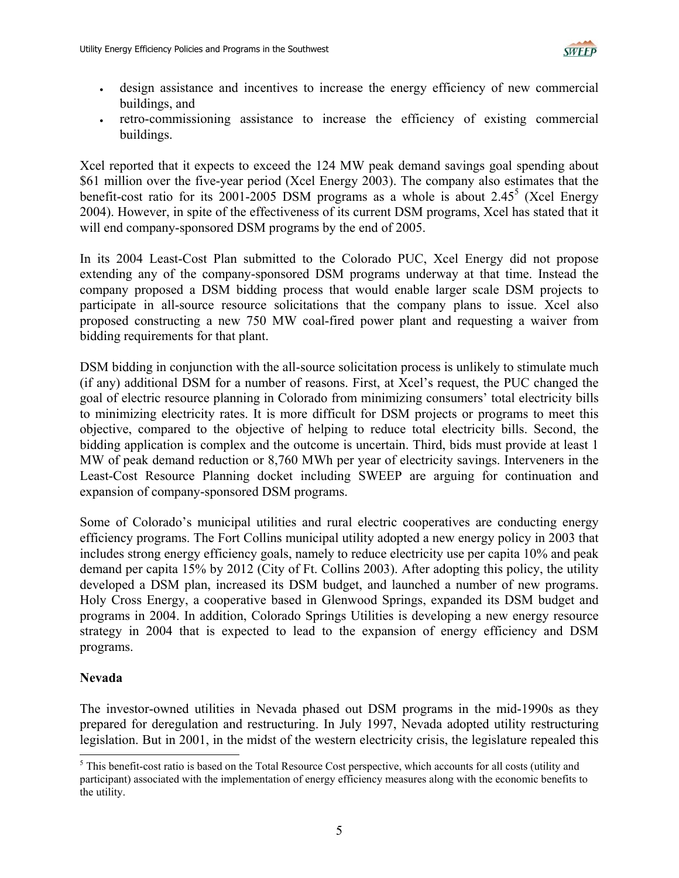

- design assistance and incentives to increase the energy efficiency of new commercial buildings, and
- retro-commissioning assistance to increase the efficiency of existing commercial buildings.

Xcel reported that it expects to exceed the 124 MW peak demand savings goal spending about \$61 million over the five-year period (Xcel Energy 2003). The company also estimates that the benefit-cost ratio for its 2001-200[5](#page-4-0) DSM programs as a whole is about  $2.45^5$  (Xcel Energy 2004). However, in spite of the effectiveness of its current DSM programs, Xcel has stated that it will end company-sponsored DSM programs by the end of 2005.

In its 2004 Least-Cost Plan submitted to the Colorado PUC, Xcel Energy did not propose extending any of the company-sponsored DSM programs underway at that time. Instead the company proposed a DSM bidding process that would enable larger scale DSM projects to participate in all-source resource solicitations that the company plans to issue. Xcel also proposed constructing a new 750 MW coal-fired power plant and requesting a waiver from bidding requirements for that plant.

DSM bidding in conjunction with the all-source solicitation process is unlikely to stimulate much (if any) additional DSM for a number of reasons. First, at Xcel's request, the PUC changed the goal of electric resource planning in Colorado from minimizing consumers' total electricity bills to minimizing electricity rates. It is more difficult for DSM projects or programs to meet this objective, compared to the objective of helping to reduce total electricity bills. Second, the bidding application is complex and the outcome is uncertain. Third, bids must provide at least 1 MW of peak demand reduction or 8,760 MWh per year of electricity savings. Interveners in the Least-Cost Resource Planning docket including SWEEP are arguing for continuation and expansion of company-sponsored DSM programs.

Some of Colorado's municipal utilities and rural electric cooperatives are conducting energy efficiency programs. The Fort Collins municipal utility adopted a new energy policy in 2003 that includes strong energy efficiency goals, namely to reduce electricity use per capita 10% and peak demand per capita 15% by 2012 (City of Ft. Collins 2003). After adopting this policy, the utility developed a DSM plan, increased its DSM budget, and launched a number of new programs. Holy Cross Energy, a cooperative based in Glenwood Springs, expanded its DSM budget and programs in 2004. In addition, Colorado Springs Utilities is developing a new energy resource strategy in 2004 that is expected to lead to the expansion of energy efficiency and DSM programs.

### **Nevada**

The investor-owned utilities in Nevada phased out DSM programs in the mid-1990s as they prepared for deregulation and restructuring. In July 1997, Nevada adopted utility restructuring legislation. But in 2001, in the midst of the western electricity crisis, the legislature repealed this

<span id="page-4-0"></span><sup>&</sup>lt;sup>5</sup> This benefit-cost ratio is based on the Total Resource Cost perspective, which accounts for all costs (utility and participant) associated with the implementation of energy efficiency measures along with the economic benefits to the utility.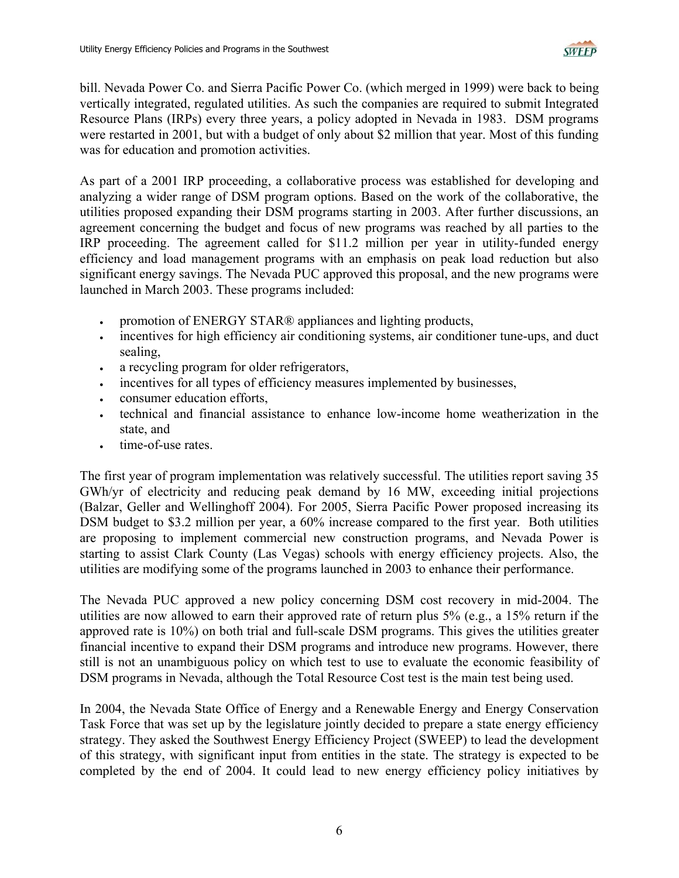

bill. Nevada Power Co. and Sierra Pacific Power Co. (which merged in 1999) were back to being vertically integrated, regulated utilities. As such the companies are required to submit Integrated Resource Plans (IRPs) every three years, a policy adopted in Nevada in 1983. DSM programs were restarted in 2001, but with a budget of only about \$2 million that year. Most of this funding was for education and promotion activities.

As part of a 2001 IRP proceeding, a collaborative process was established for developing and analyzing a wider range of DSM program options. Based on the work of the collaborative, the utilities proposed expanding their DSM programs starting in 2003. After further discussions, an agreement concerning the budget and focus of new programs was reached by all parties to the IRP proceeding. The agreement called for \$11.2 million per year in utility-funded energy efficiency and load management programs with an emphasis on peak load reduction but also significant energy savings. The Nevada PUC approved this proposal, and the new programs were launched in March 2003. These programs included:

- promotion of ENERGY STAR® appliances and lighting products,
- incentives for high efficiency air conditioning systems, air conditioner tune-ups, and duct sealing,
- a recycling program for older refrigerators,
- incentives for all types of efficiency measures implemented by businesses,
- consumer education efforts.
- technical and financial assistance to enhance low-income home weatherization in the state, and
- time-of-use rates.

The first year of program implementation was relatively successful. The utilities report saving 35 GWh/yr of electricity and reducing peak demand by 16 MW, exceeding initial projections (Balzar, Geller and Wellinghoff 2004). For 2005, Sierra Pacific Power proposed increasing its DSM budget to \$3.2 million per year, a 60% increase compared to the first year. Both utilities are proposing to implement commercial new construction programs, and Nevada Power is starting to assist Clark County (Las Vegas) schools with energy efficiency projects. Also, the utilities are modifying some of the programs launched in 2003 to enhance their performance.

The Nevada PUC approved a new policy concerning DSM cost recovery in mid-2004. The utilities are now allowed to earn their approved rate of return plus 5% (e.g., a 15% return if the approved rate is 10%) on both trial and full-scale DSM programs. This gives the utilities greater financial incentive to expand their DSM programs and introduce new programs. However, there still is not an unambiguous policy on which test to use to evaluate the economic feasibility of DSM programs in Nevada, although the Total Resource Cost test is the main test being used.

In 2004, the Nevada State Office of Energy and a Renewable Energy and Energy Conservation Task Force that was set up by the legislature jointly decided to prepare a state energy efficiency strategy. They asked the Southwest Energy Efficiency Project (SWEEP) to lead the development of this strategy, with significant input from entities in the state. The strategy is expected to be completed by the end of 2004. It could lead to new energy efficiency policy initiatives by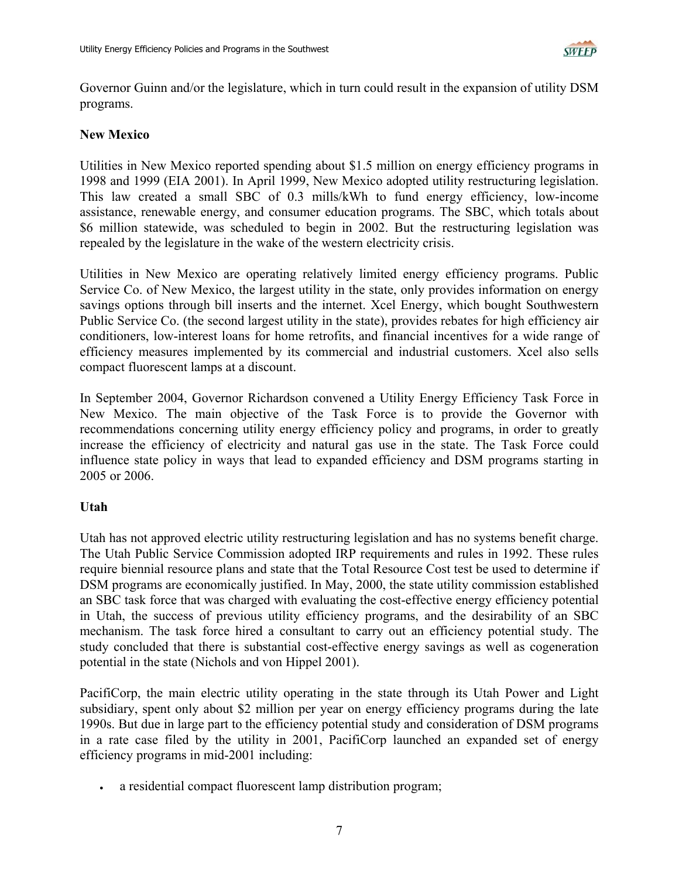

Governor Guinn and/or the legislature, which in turn could result in the expansion of utility DSM programs.

### **New Mexico**

Utilities in New Mexico reported spending about \$1.5 million on energy efficiency programs in 1998 and 1999 (EIA 2001). In April 1999, New Mexico adopted utility restructuring legislation. This law created a small SBC of 0.3 mills/kWh to fund energy efficiency, low-income assistance, renewable energy, and consumer education programs. The SBC, which totals about \$6 million statewide, was scheduled to begin in 2002. But the restructuring legislation was repealed by the legislature in the wake of the western electricity crisis.

Utilities in New Mexico are operating relatively limited energy efficiency programs. Public Service Co. of New Mexico, the largest utility in the state, only provides information on energy savings options through bill inserts and the internet. Xcel Energy, which bought Southwestern Public Service Co. (the second largest utility in the state), provides rebates for high efficiency air conditioners, low-interest loans for home retrofits, and financial incentives for a wide range of efficiency measures implemented by its commercial and industrial customers. Xcel also sells compact fluorescent lamps at a discount.

In September 2004, Governor Richardson convened a Utility Energy Efficiency Task Force in New Mexico. The main objective of the Task Force is to provide the Governor with recommendations concerning utility energy efficiency policy and programs, in order to greatly increase the efficiency of electricity and natural gas use in the state. The Task Force could influence state policy in ways that lead to expanded efficiency and DSM programs starting in 2005 or 2006.

## **Utah**

Utah has not approved electric utility restructuring legislation and has no systems benefit charge. The Utah Public Service Commission adopted IRP requirements and rules in 1992. These rules require biennial resource plans and state that the Total Resource Cost test be used to determine if DSM programs are economically justified. In May, 2000, the state utility commission established an SBC task force that was charged with evaluating the cost-effective energy efficiency potential in Utah, the success of previous utility efficiency programs, and the desirability of an SBC mechanism. The task force hired a consultant to carry out an efficiency potential study. The study concluded that there is substantial cost-effective energy savings as well as cogeneration potential in the state (Nichols and von Hippel 2001).

PacifiCorp, the main electric utility operating in the state through its Utah Power and Light subsidiary, spent only about \$2 million per year on energy efficiency programs during the late 1990s. But due in large part to the efficiency potential study and consideration of DSM programs in a rate case filed by the utility in 2001, PacifiCorp launched an expanded set of energy efficiency programs in mid-2001 including:

a residential compact fluorescent lamp distribution program;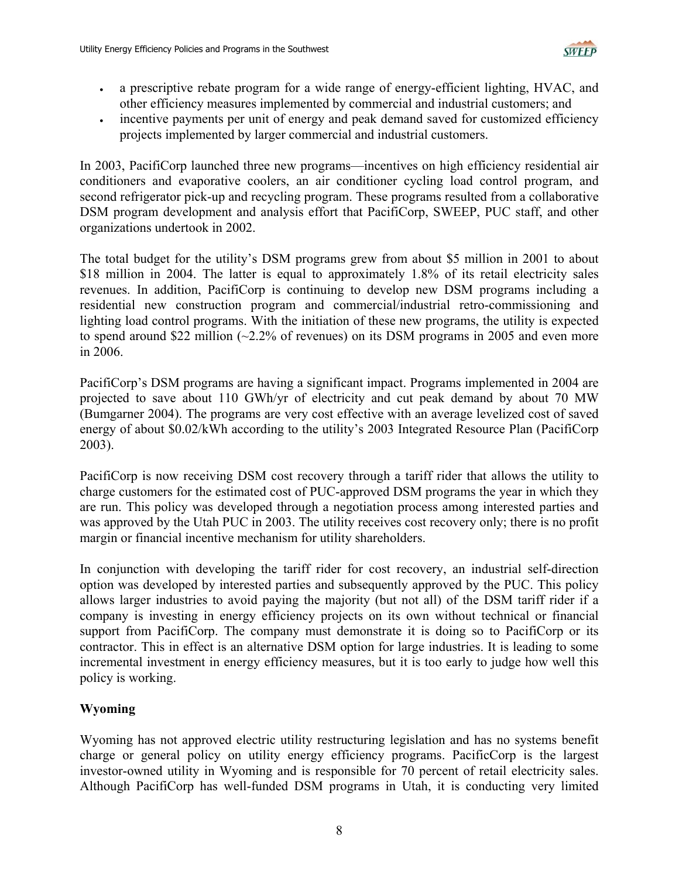

- a prescriptive rebate program for a wide range of energy-efficient lighting, HVAC, and other efficiency measures implemented by commercial and industrial customers; and
- incentive payments per unit of energy and peak demand saved for customized efficiency projects implemented by larger commercial and industrial customers.

In 2003, PacifiCorp launched three new programs—incentives on high efficiency residential air conditioners and evaporative coolers, an air conditioner cycling load control program, and second refrigerator pick-up and recycling program. These programs resulted from a collaborative DSM program development and analysis effort that PacifiCorp, SWEEP, PUC staff, and other organizations undertook in 2002.

The total budget for the utility's DSM programs grew from about \$5 million in 2001 to about \$18 million in 2004. The latter is equal to approximately 1.8% of its retail electricity sales revenues. In addition, PacifiCorp is continuing to develop new DSM programs including a residential new construction program and commercial/industrial retro-commissioning and lighting load control programs. With the initiation of these new programs, the utility is expected to spend around \$22 million  $(\sim 2.2\%$  of revenues) on its DSM programs in 2005 and even more in 2006.

PacifiCorp's DSM programs are having a significant impact. Programs implemented in 2004 are projected to save about 110 GWh/yr of electricity and cut peak demand by about 70 MW (Bumgarner 2004). The programs are very cost effective with an average levelized cost of saved energy of about \$0.02/kWh according to the utility's 2003 Integrated Resource Plan (PacifiCorp 2003).

PacifiCorp is now receiving DSM cost recovery through a tariff rider that allows the utility to charge customers for the estimated cost of PUC-approved DSM programs the year in which they are run. This policy was developed through a negotiation process among interested parties and was approved by the Utah PUC in 2003. The utility receives cost recovery only; there is no profit margin or financial incentive mechanism for utility shareholders.

In conjunction with developing the tariff rider for cost recovery, an industrial self-direction option was developed by interested parties and subsequently approved by the PUC. This policy allows larger industries to avoid paying the majority (but not all) of the DSM tariff rider if a company is investing in energy efficiency projects on its own without technical or financial support from PacifiCorp. The company must demonstrate it is doing so to PacifiCorp or its contractor. This in effect is an alternative DSM option for large industries. It is leading to some incremental investment in energy efficiency measures, but it is too early to judge how well this policy is working.

## **Wyoming**

Wyoming has not approved electric utility restructuring legislation and has no systems benefit charge or general policy on utility energy efficiency programs. PacificCorp is the largest investor-owned utility in Wyoming and is responsible for 70 percent of retail electricity sales. Although PacifiCorp has well-funded DSM programs in Utah, it is conducting very limited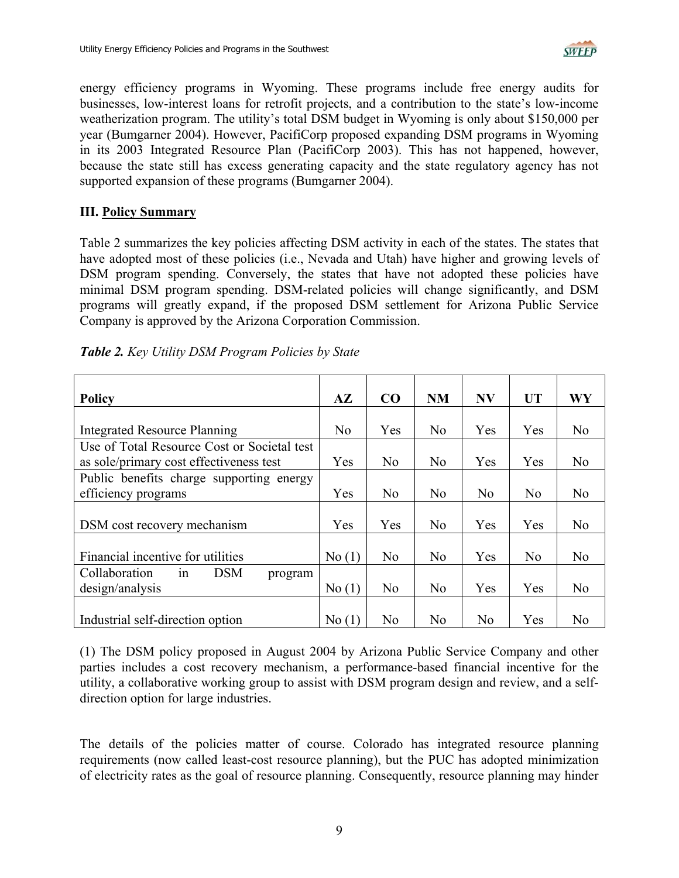

energy efficiency programs in Wyoming. These programs include free energy audits for businesses, low-interest loans for retrofit projects, and a contribution to the state's low-income weatherization program. The utility's total DSM budget in Wyoming is only about \$150,000 per year (Bumgarner 2004). However, PacifiCorp proposed expanding DSM programs in Wyoming in its 2003 Integrated Resource Plan (PacifiCorp 2003). This has not happened, however, because the state still has excess generating capacity and the state regulatory agency has not supported expansion of these programs (Bumgarner 2004).

### **III. Policy Summary**

Table 2 summarizes the key policies affecting DSM activity in each of the states. The states that have adopted most of these policies (i.e., Nevada and Utah) have higher and growing levels of DSM program spending. Conversely, the states that have not adopted these policies have minimal DSM program spending. DSM-related policies will change significantly, and DSM programs will greatly expand, if the proposed DSM settlement for Arizona Public Service Company is approved by the Arizona Corporation Commission.

| <b>Policy</b>                                | $A\mathbf{Z}$ | CO             | NM             | <b>NV</b>      | <b>UT</b>      | WY             |
|----------------------------------------------|---------------|----------------|----------------|----------------|----------------|----------------|
|                                              |               |                |                |                |                |                |
| <b>Integrated Resource Planning</b>          | No            | Yes            | No             | Yes            | Yes            | N <sub>0</sub> |
| Use of Total Resource Cost or Societal test  |               |                |                |                |                |                |
| as sole/primary cost effectiveness test      | Yes           | N <sub>o</sub> | N <sub>o</sub> | Yes            | Yes            | N <sub>0</sub> |
| Public benefits charge supporting energy     |               |                |                |                |                |                |
| efficiency programs                          | Yes           | N <sub>0</sub> | N <sub>0</sub> | N <sub>0</sub> | No             | N <sub>0</sub> |
|                                              |               |                |                |                |                |                |
| DSM cost recovery mechanism                  | Yes           | Yes            | No             | Yes            | Yes            | No             |
|                                              |               |                |                |                |                |                |
| Financial incentive for utilities            | No(1)         | No             | N <sub>o</sub> | Yes            | N <sub>0</sub> | N <sub>0</sub> |
| Collaboration<br><b>DSM</b><br>1n<br>program |               |                |                |                |                |                |
| design/analysis                              | No(1)         | N <sub>0</sub> | No             | Yes            | Yes            | No             |
|                                              |               |                |                |                |                |                |
| Industrial self-direction option             | No(1)         | N <sub>0</sub> | No             | N <sub>o</sub> | Yes            | No             |

*Table 2. Key Utility DSM Program Policies by State*

(1) The DSM policy proposed in August 2004 by Arizona Public Service Company and other parties includes a cost recovery mechanism, a performance-based financial incentive for the utility, a collaborative working group to assist with DSM program design and review, and a selfdirection option for large industries.

The details of the policies matter of course. Colorado has integrated resource planning requirements (now called least-cost resource planning), but the PUC has adopted minimization of electricity rates as the goal of resource planning. Consequently, resource planning may hinder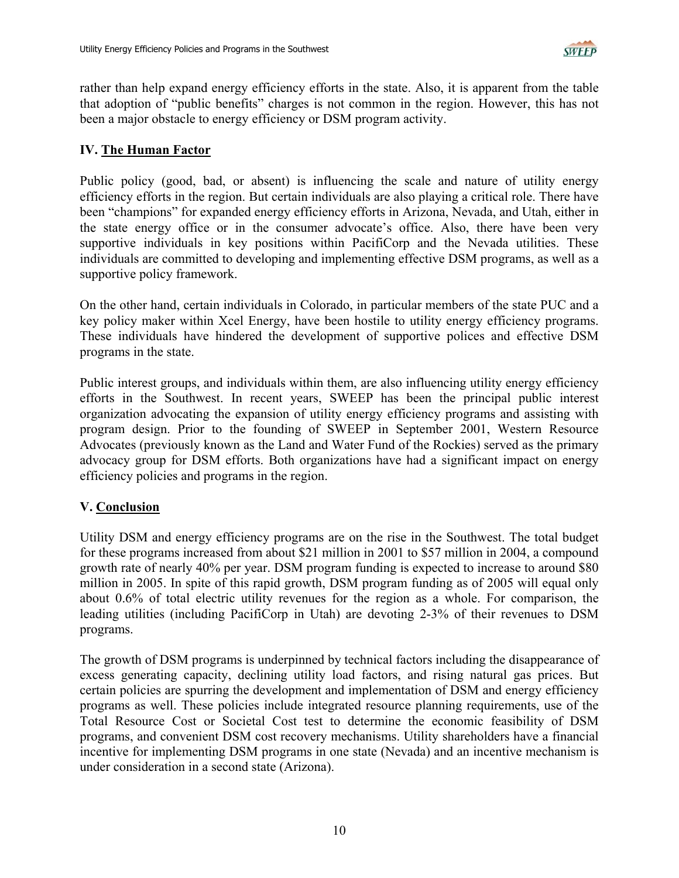

rather than help expand energy efficiency efforts in the state. Also, it is apparent from the table that adoption of "public benefits" charges is not common in the region. However, this has not been a major obstacle to energy efficiency or DSM program activity.

### **IV. The Human Factor**

Public policy (good, bad, or absent) is influencing the scale and nature of utility energy efficiency efforts in the region. But certain individuals are also playing a critical role. There have been "champions" for expanded energy efficiency efforts in Arizona, Nevada, and Utah, either in the state energy office or in the consumer advocate's office. Also, there have been very supportive individuals in key positions within PacifiCorp and the Nevada utilities. These individuals are committed to developing and implementing effective DSM programs, as well as a supportive policy framework.

On the other hand, certain individuals in Colorado, in particular members of the state PUC and a key policy maker within Xcel Energy, have been hostile to utility energy efficiency programs. These individuals have hindered the development of supportive polices and effective DSM programs in the state.

Public interest groups, and individuals within them, are also influencing utility energy efficiency efforts in the Southwest. In recent years, SWEEP has been the principal public interest organization advocating the expansion of utility energy efficiency programs and assisting with program design. Prior to the founding of SWEEP in September 2001, Western Resource Advocates (previously known as the Land and Water Fund of the Rockies) served as the primary advocacy group for DSM efforts. Both organizations have had a significant impact on energy efficiency policies and programs in the region.

### **V. Conclusion**

Utility DSM and energy efficiency programs are on the rise in the Southwest. The total budget for these programs increased from about \$21 million in 2001 to \$57 million in 2004, a compound growth rate of nearly 40% per year. DSM program funding is expected to increase to around \$80 million in 2005. In spite of this rapid growth, DSM program funding as of 2005 will equal only about 0.6% of total electric utility revenues for the region as a whole. For comparison, the leading utilities (including PacifiCorp in Utah) are devoting 2-3% of their revenues to DSM programs.

The growth of DSM programs is underpinned by technical factors including the disappearance of excess generating capacity, declining utility load factors, and rising natural gas prices. But certain policies are spurring the development and implementation of DSM and energy efficiency programs as well. These policies include integrated resource planning requirements, use of the Total Resource Cost or Societal Cost test to determine the economic feasibility of DSM programs, and convenient DSM cost recovery mechanisms. Utility shareholders have a financial incentive for implementing DSM programs in one state (Nevada) and an incentive mechanism is under consideration in a second state (Arizona).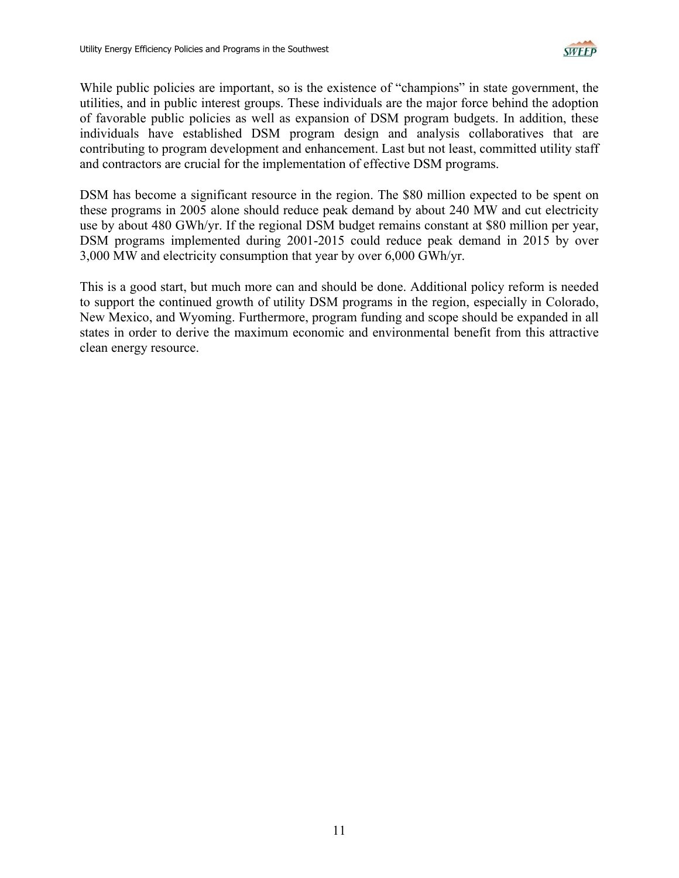

While public policies are important, so is the existence of "champions" in state government, the utilities, and in public interest groups. These individuals are the major force behind the adoption of favorable public policies as well as expansion of DSM program budgets. In addition, these individuals have established DSM program design and analysis collaboratives that are contributing to program development and enhancement. Last but not least, committed utility staff and contractors are crucial for the implementation of effective DSM programs.

DSM has become a significant resource in the region. The \$80 million expected to be spent on these programs in 2005 alone should reduce peak demand by about 240 MW and cut electricity use by about 480 GWh/yr. If the regional DSM budget remains constant at \$80 million per year, DSM programs implemented during 2001-2015 could reduce peak demand in 2015 by over 3,000 MW and electricity consumption that year by over 6,000 GWh/yr.

This is a good start, but much more can and should be done. Additional policy reform is needed to support the continued growth of utility DSM programs in the region, especially in Colorado, New Mexico, and Wyoming. Furthermore, program funding and scope should be expanded in all states in order to derive the maximum economic and environmental benefit from this attractive clean energy resource.